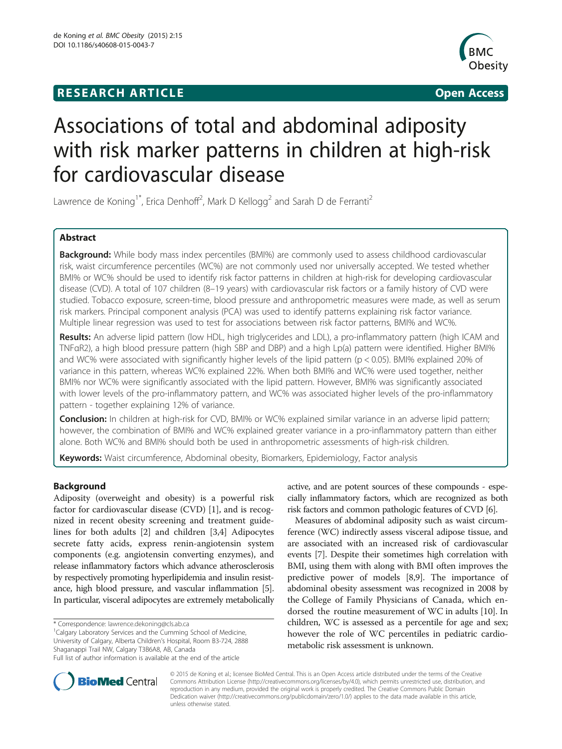# **RESEARCH ARTICLE Example 2014 12:30 The SEAR CH ACCESS**



# Associations of total and abdominal adiposity with risk marker patterns in children at high-risk for cardiovascular disease

Lawrence de Koning<sup>1\*</sup>, Erica Denhoff<sup>2</sup>, Mark D Kellogg<sup>2</sup> and Sarah D de Ferranti<sup>2</sup>

## Abstract

Background: While body mass index percentiles (BMI%) are commonly used to assess childhood cardiovascular risk, waist circumference percentiles (WC%) are not commonly used nor universally accepted. We tested whether BMI% or WC% should be used to identify risk factor patterns in children at high-risk for developing cardiovascular disease (CVD). A total of 107 children (8–19 years) with cardiovascular risk factors or a family history of CVD were studied. Tobacco exposure, screen-time, blood pressure and anthropometric measures were made, as well as serum risk markers. Principal component analysis (PCA) was used to identify patterns explaining risk factor variance. Multiple linear regression was used to test for associations between risk factor patterns, BMI% and WC%.

Results: An adverse lipid pattern (low HDL, high triglycerides and LDL), a pro-inflammatory pattern (high ICAM and TNFαR2), a high blood pressure pattern (high SBP and DBP) and a high Lp(a) pattern were identified. Higher BMI% and WC% were associated with significantly higher levels of the lipid pattern (p < 0.05). BMI% explained 20% of variance in this pattern, whereas WC% explained 22%. When both BMI% and WC% were used together, neither BMI% nor WC% were significantly associated with the lipid pattern. However, BMI% was significantly associated with lower levels of the pro-inflammatory pattern, and WC% was associated higher levels of the pro-inflammatory pattern - together explaining 12% of variance.

Conclusion: In children at high-risk for CVD, BMI% or WC% explained similar variance in an adverse lipid pattern; however, the combination of BMI% and WC% explained greater variance in a pro-inflammatory pattern than either alone. Both WC% and BMI% should both be used in anthropometric assessments of high-risk children.

Keywords: Waist circumference, Abdominal obesity, Biomarkers, Epidemiology, Factor analysis

### Background

Adiposity (overweight and obesity) is a powerful risk factor for cardiovascular disease (CVD) [\[1](#page-5-0)], and is recognized in recent obesity screening and treatment guidelines for both adults [[2\]](#page-5-0) and children [[3,4\]](#page-5-0) Adipocytes secrete fatty acids, express renin-angiotensin system components (e.g. angiotensin converting enzymes), and release inflammatory factors which advance atherosclerosis by respectively promoting hyperlipidemia and insulin resistance, high blood pressure, and vascular inflammation [[5](#page-5-0)]. In particular, visceral adipocytes are extremely metabolically

\* Correspondence: [lawrence.dekoning@cls.ab.ca](mailto:lawrence.dekoning@cls.ab.ca) <sup>1</sup>

<sup>1</sup>Calgary Laboratory Services and the Cumming School of Medicine, University of Calgary, Alberta Children's Hospital, Room B3-724, 2888 Shaganappi Trail NW, Calgary T3B6A8, AB, Canada

active, and are potent sources of these compounds - especially inflammatory factors, which are recognized as both risk factors and common pathologic features of CVD [\[6\]](#page-5-0).

Measures of abdominal adiposity such as waist circumference (WC) indirectly assess visceral adipose tissue, and are associated with an increased risk of cardiovascular events [[7\]](#page-5-0). Despite their sometimes high correlation with BMI, using them with along with BMI often improves the predictive power of models [\[8,9](#page-5-0)]. The importance of abdominal obesity assessment was recognized in 2008 by the College of Family Physicians of Canada, which endorsed the routine measurement of WC in adults [[10](#page-5-0)]. In children, WC is assessed as a percentile for age and sex; however the role of WC percentiles in pediatric cardiometabolic risk assessment is unknown.



© 2015 de Koning et al.; licensee BioMed Central. This is an Open Access article distributed under the terms of the Creative Commons Attribution License [\(http://creativecommons.org/licenses/by/4.0\)](http://creativecommons.org/licenses/by/4.0), which permits unrestricted use, distribution, and reproduction in any medium, provided the original work is properly credited. The Creative Commons Public Domain Dedication waiver [\(http://creativecommons.org/publicdomain/zero/1.0/](http://creativecommons.org/publicdomain/zero/1.0/)) applies to the data made available in this article, unless otherwise stated.

Full list of author information is available at the end of the article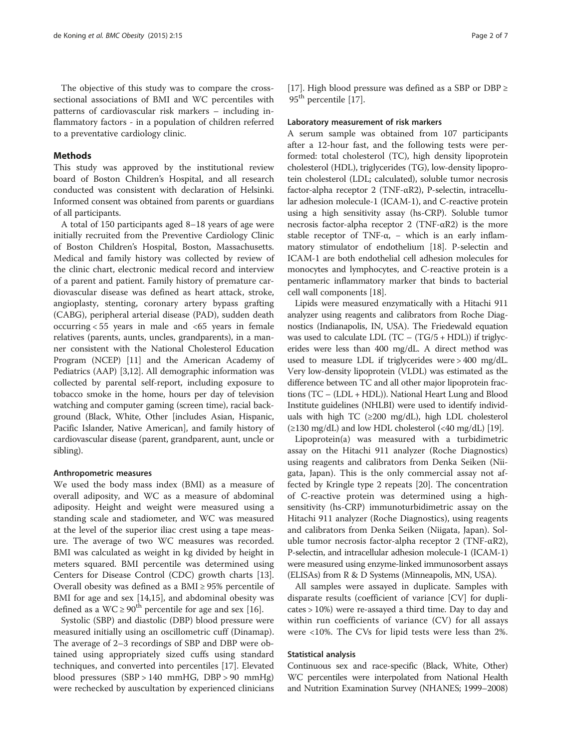#### Methods

This study was approved by the institutional review board of Boston Children's Hospital, and all research conducted was consistent with declaration of Helsinki. Informed consent was obtained from parents or guardians of all participants.

A total of 150 participants aged 8–18 years of age were initially recruited from the Preventive Cardiology Clinic of Boston Children's Hospital, Boston, Massachusetts. Medical and family history was collected by review of the clinic chart, electronic medical record and interview of a parent and patient. Family history of premature cardiovascular disease was defined as heart attack, stroke, angioplasty, stenting, coronary artery bypass grafting (CABG), peripheral arterial disease (PAD), sudden death occurring  $< 55$  years in male and  $< 65$  years in female relatives (parents, aunts, uncles, grandparents), in a manner consistent with the National Cholesterol Education Program (NCEP) [\[11\]](#page-5-0) and the American Academy of Pediatrics (AAP) [\[3](#page-5-0)[,12\]](#page-6-0). All demographic information was collected by parental self-report, including exposure to tobacco smoke in the home, hours per day of television watching and computer gaming (screen time), racial background (Black, White, Other [includes Asian, Hispanic, Pacific Islander, Native American], and family history of cardiovascular disease (parent, grandparent, aunt, uncle or sibling).

#### Anthropometric measures

We used the body mass index (BMI) as a measure of overall adiposity, and WC as a measure of abdominal adiposity. Height and weight were measured using a standing scale and stadiometer, and WC was measured at the level of the superior iliac crest using a tape measure. The average of two WC measures was recorded. BMI was calculated as weight in kg divided by height in meters squared. BMI percentile was determined using Centers for Disease Control (CDC) growth charts [\[13](#page-6-0)]. Overall obesity was defined as a  $BMI \geq 95\%$  percentile of BMI for age and sex [\[14,15](#page-6-0)], and abdominal obesity was defined as a WC  $\geq 90^{\text{th}}$  percentile for age and sex [\[16](#page-6-0)].

Systolic (SBP) and diastolic (DBP) blood pressure were measured initially using an oscillometric cuff (Dinamap). The average of 2–3 recordings of SBP and DBP were obtained using appropriately sized cuffs using standard techniques, and converted into percentiles [[17\]](#page-6-0). Elevated blood pressures (SBP > 140 mmHG, DBP > 90 mmHg) were rechecked by auscultation by experienced clinicians [[17\]](#page-6-0). High blood pressure was defined as a SBP or DBP  $\geq$ 95<sup>th</sup> percentile [\[17\]](#page-6-0).

#### Laboratory measurement of risk markers

A serum sample was obtained from 107 participants after a 12-hour fast, and the following tests were performed: total cholesterol (TC), high density lipoprotein cholesterol (HDL), triglycerides (TG), low-density lipoprotein cholesterol (LDL; calculated), soluble tumor necrosis factor-alpha receptor 2 (TNF-αR2), P-selectin, intracellular adhesion molecule-1 (ICAM-1), and C-reactive protein using a high sensitivity assay (hs-CRP). Soluble tumor necrosis factor-alpha receptor 2 (TNF-αR2) is the more stable receptor of TNF- $\alpha$ , – which is an early inflammatory stimulator of endothelium [[18](#page-6-0)]. P-selectin and ICAM-1 are both endothelial cell adhesion molecules for monocytes and lymphocytes, and C-reactive protein is a pentameric inflammatory marker that binds to bacterial cell wall components [[18](#page-6-0)].

Lipids were measured enzymatically with a Hitachi 911 analyzer using reagents and calibrators from Roche Diagnostics (Indianapolis, IN, USA). The Friedewald equation was used to calculate LDL  $(TC - (TG/5 + HDL))$  if triglycerides were less than 400 mg/dL. A direct method was used to measure LDL if triglycerides were > 400 mg/dL. Very low-density lipoprotein (VLDL) was estimated as the difference between TC and all other major lipoprotein fractions (TC – (LDL + HDL)). National Heart Lung and Blood Institute guidelines (NHLBI) were used to identify individuals with high TC ( $\geq 200$  mg/dL), high LDL cholesterol  $(\geq 130 \text{ mg/dL})$  and low HDL cholesterol  $(\leq 40 \text{ mg/dL})$  [\[19\]](#page-6-0).

Lipoprotein(a) was measured with a turbidimetric assay on the Hitachi 911 analyzer (Roche Diagnostics) using reagents and calibrators from Denka Seiken (Niigata, Japan). This is the only commercial assay not affected by Kringle type 2 repeats [[20](#page-6-0)]. The concentration of C-reactive protein was determined using a highsensitivity (hs-CRP) immunoturbidimetric assay on the Hitachi 911 analyzer (Roche Diagnostics), using reagents and calibrators from Denka Seiken (Niigata, Japan). Soluble tumor necrosis factor-alpha receptor 2 (TNF-αR2), P-selectin, and intracellular adhesion molecule-1 (ICAM-1) were measured using enzyme-linked immunosorbent assays (ELISAs) from R & D Systems (Minneapolis, MN, USA).

All samples were assayed in duplicate. Samples with disparate results (coefficient of variance [CV] for duplicates > 10%) were re-assayed a third time. Day to day and within run coefficients of variance (CV) for all assays were <10%. The CVs for lipid tests were less than 2%.

#### Statistical analysis

Continuous sex and race-specific (Black, White, Other) WC percentiles were interpolated from National Health and Nutrition Examination Survey (NHANES; 1999–2008)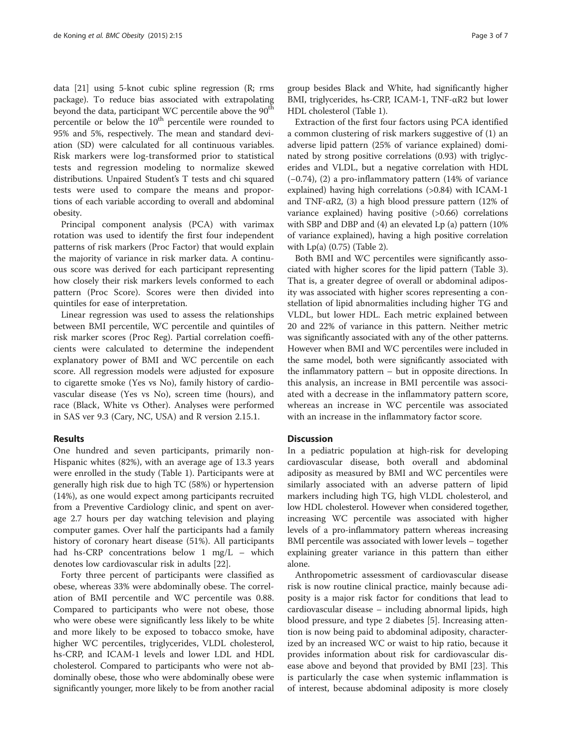data [[21](#page-6-0)] using 5-knot cubic spline regression (R; rms package). To reduce bias associated with extrapolating beyond the data, participant WC percentile above the 90<sup>th</sup> percentile or below the  $10<sup>th</sup>$  percentile were rounded to 95% and 5%, respectively. The mean and standard deviation (SD) were calculated for all continuous variables. Risk markers were log-transformed prior to statistical tests and regression modeling to normalize skewed distributions. Unpaired Student's T tests and chi squared tests were used to compare the means and proportions of each variable according to overall and abdominal obesity.

Principal component analysis (PCA) with varimax rotation was used to identify the first four independent patterns of risk markers (Proc Factor) that would explain the majority of variance in risk marker data. A continuous score was derived for each participant representing how closely their risk markers levels conformed to each pattern (Proc Score). Scores were then divided into quintiles for ease of interpretation.

Linear regression was used to assess the relationships between BMI percentile, WC percentile and quintiles of risk marker scores (Proc Reg). Partial correlation coefficients were calculated to determine the independent explanatory power of BMI and WC percentile on each score. All regression models were adjusted for exposure to cigarette smoke (Yes vs No), family history of cardiovascular disease (Yes vs No), screen time (hours), and race (Black, White vs Other). Analyses were performed in SAS ver 9.3 (Cary, NC, USA) and R version 2.15.1.

#### Results

One hundred and seven participants, primarily non-Hispanic whites (82%), with an average age of 13.3 years were enrolled in the study (Table [1\)](#page-3-0). Participants were at generally high risk due to high TC (58%) or hypertension (14%), as one would expect among participants recruited from a Preventive Cardiology clinic, and spent on average 2.7 hours per day watching television and playing computer games. Over half the participants had a family history of coronary heart disease (51%). All participants had hs-CRP concentrations below 1 mg/L – which denotes low cardiovascular risk in adults [\[22](#page-6-0)].

Forty three percent of participants were classified as obese, whereas 33% were abdominally obese. The correlation of BMI percentile and WC percentile was 0.88. Compared to participants who were not obese, those who were obese were significantly less likely to be white and more likely to be exposed to tobacco smoke, have higher WC percentiles, triglycerides, VLDL cholesterol, hs-CRP, and ICAM-1 levels and lower LDL and HDL cholesterol. Compared to participants who were not abdominally obese, those who were abdominally obese were significantly younger, more likely to be from another racial

group besides Black and White, had significantly higher BMI, triglycerides, hs-CRP, ICAM-1, TNF-αR2 but lower HDL cholesterol (Table [1\)](#page-3-0).

Extraction of the first four factors using PCA identified a common clustering of risk markers suggestive of (1) an adverse lipid pattern (25% of variance explained) dominated by strong positive correlations (0.93) with triglycerides and VLDL, but a negative correlation with HDL (−0.74), (2) a pro-inflammatory pattern (14% of variance explained) having high correlations (>0.84) with ICAM-1 and TNF- $\alpha$ R2, (3) a high blood pressure pattern (12% of variance explained) having positive (>0.66) correlations with SBP and DBP and (4) an elevated Lp (a) pattern (10% of variance explained), having a high positive correlation with  $Lp(a)$  (0.75) (Table [2](#page-4-0)).

Both BMI and WC percentiles were significantly associated with higher scores for the lipid pattern (Table [3](#page-4-0)). That is, a greater degree of overall or abdominal adiposity was associated with higher scores representing a constellation of lipid abnormalities including higher TG and VLDL, but lower HDL. Each metric explained between 20 and 22% of variance in this pattern. Neither metric was significantly associated with any of the other patterns. However when BMI and WC percentiles were included in the same model, both were significantly associated with the inflammatory pattern – but in opposite directions. In this analysis, an increase in BMI percentile was associated with a decrease in the inflammatory pattern score, whereas an increase in WC percentile was associated with an increase in the inflammatory factor score.

#### **Discussion**

In a pediatric population at high-risk for developing cardiovascular disease, both overall and abdominal adiposity as measured by BMI and WC percentiles were similarly associated with an adverse pattern of lipid markers including high TG, high VLDL cholesterol, and low HDL cholesterol. However when considered together, increasing WC percentile was associated with higher levels of a pro-inflammatory pattern whereas increasing BMI percentile was associated with lower levels – together explaining greater variance in this pattern than either alone.

Anthropometric assessment of cardiovascular disease risk is now routine clinical practice, mainly because adiposity is a major risk factor for conditions that lead to cardiovascular disease – including abnormal lipids, high blood pressure, and type 2 diabetes [[5\]](#page-5-0). Increasing attention is now being paid to abdominal adiposity, characterized by an increased WC or waist to hip ratio, because it provides information about risk for cardiovascular disease above and beyond that provided by BMI [[23\]](#page-6-0). This is particularly the case when systemic inflammation is of interest, because abdominal adiposity is more closely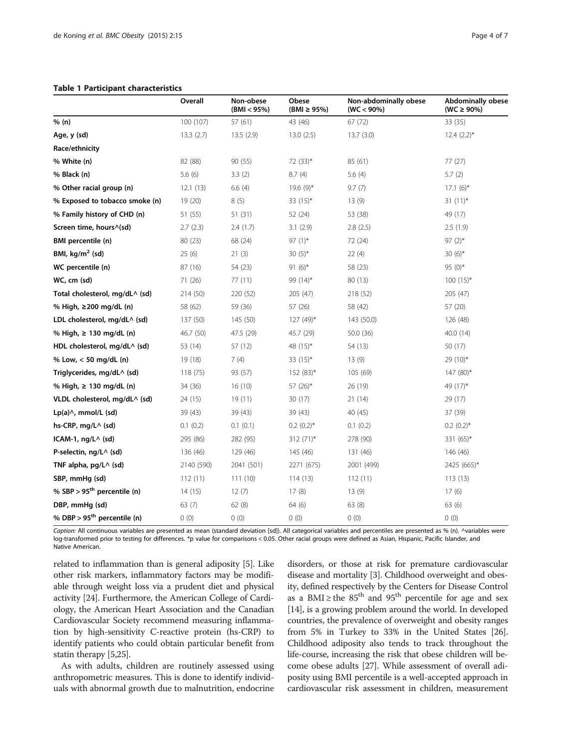#### <span id="page-3-0"></span>Table 1 Participant characteristics

|                                         | Overall    | Non-obese<br>(BMI < 95%) | Obese<br>$(BMI \ge 95\%)$ | Non-abdominally obese<br>$(WC < 90\%)$ | Abdominally obese<br>$(WC \ge 90\%)$ |
|-----------------------------------------|------------|--------------------------|---------------------------|----------------------------------------|--------------------------------------|
| % (n)                                   | 100 (107)  | 57 (61)                  | 43 (46)                   | 67 (72)                                | 33 (35)                              |
| Age, y (sd)                             | 13.3(2.7)  | 13.5(2.9)                | 13.0(2.5)                 | 13.7(3.0)                              | $12.4 (2.2)^*$                       |
| Race/ethnicity                          |            |                          |                           |                                        |                                      |
| % White (n)                             | 82 (88)    | 90 (55)                  | 72 (33)*                  | 85 (61)                                | 77 (27)                              |
| % Black (n)                             | 5.6(6)     | 3.3(2)                   | 8.7(4)                    | 5.6 $(4)$                              | 5.7(2)                               |
| % Other racial group (n)                | 12.1(13)   | 6.6(4)                   | $19.6(9)$ *               | 9.7(7)                                 | $17.1(6)$ *                          |
| % Exposed to tobacco smoke (n)          | 19(20)     | 8(5)                     | $33(15)^*$                | 13(9)                                  | $31(11)^*$                           |
| % Family history of CHD (n)             | 51 (55)    | 51 (31)                  | 52 (24)                   | 53 (38)                                | 49 (17)                              |
| Screen time, hours^(sd)                 | 2.7(2.3)   | 2.4(1.7)                 | 3.1(2.9)                  | 2.8(2.5)                               | 2.5(1.9)                             |
| <b>BMI</b> percentile (n)               | 80(23)     | 68 (24)                  | $97(1)^{*}$               | 72 (24)                                | 97 $(2)$ *                           |
| BMI, $kg/m2$ (sd)                       | 25(6)      | 21(3)                    | $30(5)$ *                 | 22(4)                                  | $30(6)$ *                            |
| WC percentile (n)                       | 87 (16)    | 54 (23)                  | 91 $(6)^*$                | 58 (23)                                | 95 $(0)^*$                           |
| WC, cm (sd)                             | 71 (26)    | 77 (11)                  | 99 (14)*                  | 80 (13)                                | $100(15)^{*}$                        |
| Total cholesterol, mg/dL^ (sd)          | 214 (50)   | 220 (52)                 | 205 (47)                  | 218 (52)                               | 205 (47)                             |
| % High, ≥200 mg/dL (n)                  | 58 (62)    | 59 (36)                  | 57 (26)                   | 58 (42)                                | 57 (20)                              |
| LDL cholesterol, mg/dL^ (sd)            | 137 (50)   | 145 (50)                 | 127 (49)*                 | 143 (50.0)                             | 126 (48)                             |
| % High, $\geq$ 130 mg/dL (n)            | 46.7 (50)  | 47.5 (29)                | 45.7 (29)                 | 50.0 (36)                              | 40.0 (14)                            |
| HDL cholesterol, mg/dL^ (sd)            | 53 (14)    | 57 (12)                  | 48 (15)*                  | 54 (13)                                | 50 (17)                              |
| % Low, < 50 mg/dL (n)                   | 19 (18)    | 7(4)                     | $33(15)^*$                | 13(9)                                  | $29(10)^*$                           |
| Triglycerides, mg/dL^ (sd)              | 118 (75)   | 93 (57)                  | 152 (83)*                 | 105 (69)                               | 147 (80)*                            |
| % High, ≥ 130 mg/dL (n)                 | 34 (36)    | 16 (10)                  | $57(26)$ *                | 26 (19)                                | 49 (17)*                             |
| VLDL cholesterol, mg/dL^ (sd)           | 24 (15)    | 19(11)                   | 30(17)                    | 21(14)                                 | 29 (17)                              |
| $Lp(a)$ , mmol/L (sd)                   | 39 (43)    | 39 (43)                  | 39 (43)                   | 40 (45)                                | 37 (39)                              |
| hs-CRP, $mg/L \wedge (sd)$              | 0.1(0.2)   | 0.1(0.1)                 | $0.2(0.2)^{*}$            | 0.1(0.2)                               | $0.2$ $(0.2)$ <sup>*</sup>           |
| ICAM-1, $ng/L \wedge (sd)$              | 295 (86)   | 282 (95)                 | $312(71)$ *               | 278 (90)                               | 331 (65)*                            |
| P-selectin, ng/L^ (sd)                  | 136 (46)   | 129 (46)                 | 145 (46)                  | 131 (46)                               | 146 (46)                             |
| TNF alpha, $pg/L \land (sd)$            | 2140 (590) | 2041 (501)               | 2271 (675)                | 2001 (499)                             | 2425 (665)*                          |
| SBP, mmHg (sd)                          | 112(11)    | 111(10)                  | 114(13)                   | 112(11)                                | 113(13)                              |
| % SBP > 95 <sup>th</sup> percentile (n) | 14(15)     | 12(7)                    | 17(8)                     | 13(9)                                  | 17(6)                                |
| DBP, mmHq (sd)                          | 63(7)      | 62(8)                    | 64 (6)                    | 63(8)                                  | 63 (6)                               |
| % DBP > 95 <sup>th</sup> percentile (n) | (0)        | 0(0)                     | 0(0)                      | 0(0)                                   | 0(0)                                 |

Caption: All continuous variables are presented as mean (standard deviation [sd]). All categorical variables and percentiles are presented as % (n). ^variables were log-transformed prior to testing for differences. \*p value for comparisons < 0.05. Other racial groups were defined as Asian, Hispanic, Pacific Islander, and Native American.

related to inflammation than is general adiposity [\[5](#page-5-0)]. Like other risk markers, inflammatory factors may be modifiable through weight loss via a prudent diet and physical activity [\[24\]](#page-6-0). Furthermore, the American College of Cardiology, the American Heart Association and the Canadian Cardiovascular Society recommend measuring inflammation by high-sensitivity C-reactive protein (hs-CRP) to identify patients who could obtain particular benefit from statin therapy [\[5,](#page-5-0)[25](#page-6-0)].

As with adults, children are routinely assessed using anthropometric measures. This is done to identify individuals with abnormal growth due to malnutrition, endocrine

disorders, or those at risk for premature cardiovascular disease and mortality [\[3](#page-5-0)]. Childhood overweight and obesity, defined respectively by the Centers for Disease Control as a BMI ≥ the  $85<sup>th</sup>$  and  $95<sup>th</sup>$  percentile for age and sex [[14](#page-6-0)], is a growing problem around the world. In developed countries, the prevalence of overweight and obesity ranges from 5% in Turkey to 33% in the United States [[26](#page-6-0)]. Childhood adiposity also tends to track throughout the life-course, increasing the risk that obese children will become obese adults [\[27\]](#page-6-0). While assessment of overall adiposity using BMI percentile is a well-accepted approach in cardiovascular risk assessment in children, measurement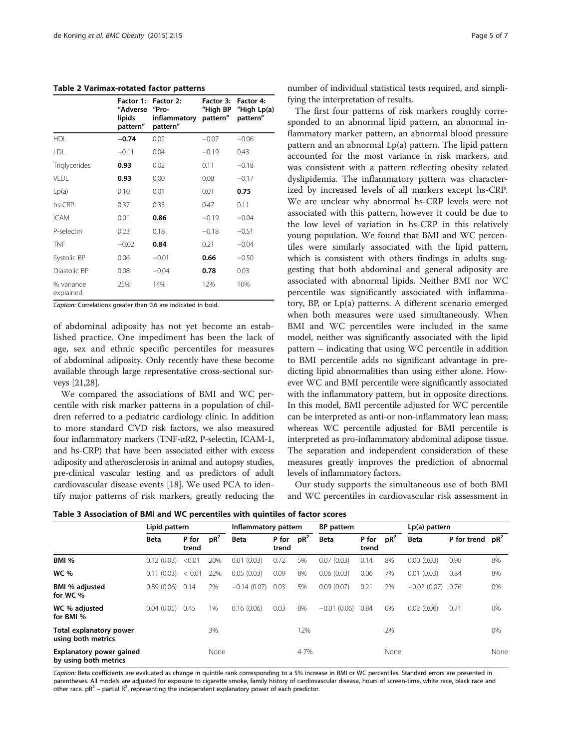<span id="page-4-0"></span>

| <b>Table 2 Varimax-rotated factor patterns</b> |  |
|------------------------------------------------|--|
|------------------------------------------------|--|

|                         | Factor 1:<br><b>"Adverse</b><br>lipids<br>pattern" | Factor 2:<br>"Pro-<br>inflammatory<br>pattern" | Factor 3:<br>"High BP<br>pattern" | Factor 4:<br>"High Lp(a)<br>pattern" |
|-------------------------|----------------------------------------------------|------------------------------------------------|-----------------------------------|--------------------------------------|
| <b>HDL</b>              | $-0.74$                                            | 0.02                                           | $-0.07$                           | $-0.06$                              |
| LDL                     | $-0.11$                                            | 0.04                                           | $-0.19$                           | 0.43                                 |
| Triglycerides           | 0.93                                               | 0.02                                           | 0.11                              | $-0.18$                              |
| VLDL                    | 0.93                                               | 0.00                                           | 0.08                              | $-0.17$                              |
| Lp(a)                   | 0.10                                               | 0.01                                           | 0.01                              | 0.75                                 |
| hs-CRP                  | 0.37                                               | 0.33                                           | 0.47                              | 0.11                                 |
| <b>ICAM</b>             | 0.01                                               | 0.86                                           | $-0.19$                           | $-0.04$                              |
| P-selectin              | 0.23                                               | 0.18                                           | $-0.18$                           | $-0.51$                              |
| TNF                     | $-0.02$                                            | 0.84                                           | 0.21                              | $-0.04$                              |
| Systolic BP             | 0.06                                               | $-0.01$                                        | 0.66                              | $-0.50$                              |
| Diastolic BP            | 0.08                                               | $-0.04$                                        | 0.78                              | 0.03                                 |
| % variance<br>explained | 25%                                                | 14%                                            | 12%                               | 10%                                  |

Caption: Correlations greater than 0.6 are indicated in bold.

of abdominal adiposity has not yet become an established practice. One impediment has been the lack of age, sex and ethnic specific percentiles for measures of abdominal adiposity. Only recently have these become available through large representative cross-sectional surveys [\[21,28](#page-6-0)].

We compared the associations of BMI and WC percentile with risk marker patterns in a population of children referred to a pediatric cardiology clinic. In addition to more standard CVD risk factors, we also measured four inflammatory markers (TNF-αR2, P-selectin, ICAM-1, and hs-CRP) that have been associated either with excess adiposity and atherosclerosis in animal and autopsy studies, pre-clinical vascular testing and as predictors of adult cardiovascular disease events [[18](#page-6-0)]. We used PCA to identify major patterns of risk markers, greatly reducing the

number of individual statistical tests required, and simplifying the interpretation of results.

The first four patterns of risk markers roughly corresponded to an abnormal lipid pattern, an abnormal inflammatory marker pattern, an abnormal blood pressure pattern and an abnormal Lp(a) pattern. The lipid pattern accounted for the most variance in risk markers, and was consistent with a pattern reflecting obesity related dyslipidemia. The inflammatory pattern was characterized by increased levels of all markers except hs-CRP. We are unclear why abnormal hs-CRP levels were not associated with this pattern, however it could be due to the low level of variation in hs-CRP in this relatively young population. We found that BMI and WC percentiles were similarly associated with the lipid pattern, which is consistent with others findings in adults suggesting that both abdominal and general adiposity are associated with abnormal lipids. Neither BMI nor WC percentile was significantly associated with inflammatory, BP, or Lp(a) patterns. A different scenario emerged when both measures were used simultaneously. When BMI and WC percentiles were included in the same model, neither was significantly associated with the lipid pattern – indicating that using WC percentile in addition to BMI percentile adds no significant advantage in predicting lipid abnormalities than using either alone. However WC and BMI percentile were significantly associated with the inflammatory pattern, but in opposite directions. In this model, BMI percentile adjusted for WC percentile can be interpreted as anti-or non-inflammatory lean mass; whereas WC percentile adjusted for BMI percentile is interpreted as pro-inflammatory abdominal adipose tissue. The separation and independent consideration of these measures greatly improves the prediction of abnormal levels of inflammatory factors.

Our study supports the simultaneous use of both BMI and WC percentiles in cardiovascular risk assessment in

|  |  |  |  |  |  |  |  | Table 3 Association of BMI and WC percentiles with quintiles of factor scores |  |
|--|--|--|--|--|--|--|--|-------------------------------------------------------------------------------|--|
|--|--|--|--|--|--|--|--|-------------------------------------------------------------------------------|--|

|                                                   | Lipid pattern     |                |        | Inflammatory pattern |                |        | BP pattern    |                |        | Lp(a) pattern |                    |      |
|---------------------------------------------------|-------------------|----------------|--------|----------------------|----------------|--------|---------------|----------------|--------|---------------|--------------------|------|
|                                                   | <b>Beta</b>       | P for<br>trend | $pR^2$ | <b>Beta</b>          | P for<br>trend | $pR^2$ | <b>Beta</b>   | P for<br>trend | $pR^2$ | <b>Beta</b>   | P for trend $pR^2$ |      |
| BMI %                                             | 0.12(0.03)        | < 0.01         | 20%    | (0.03)<br>0.01       | 0.72           | 5%     | 0.07(0.03)    | 0.14           | 8%     | 0.00(0.03)    | 0.98               | 8%   |
| <b>WC %</b>                                       | 0.11(0.03)        | < 0.01         | 22%    | 0.05(0.03)           | 0.09           | 8%     | 0.06(0.03)    | 0.06           | 7%     | 0.01(0.03)    | 0.84               | 8%   |
| <b>BMI % adjusted</b><br>for WC %                 | 0.89(0.06)        | 0.14           | 2%     | $-0.14(0.07)$        | 0.03           | 5%     | 0.09(0.07)    | 0.21           | 2%     | $-0.02(0.07)$ | 0.76               | 0%   |
| WC % adjusted<br>for BMI %                        | $0.04(0.05)$ 0.45 |                | 1%     | 0.16(0.06)           | 0.03           | 8%     | $-0.01(0.06)$ | 0.84           | 0%     | 0.02(0.06)    | 0.71               | 0%   |
| Total explanatory power<br>using both metrics     |                   |                | 3%     |                      |                | 12%    |               |                | 2%     |               |                    | 0%   |
| Explanatory power gained<br>by using both metrics |                   |                | None   |                      |                | 4-7%   |               |                | None   |               |                    | None |

Caption: Beta coefficients are evaluated as change in quintile rank corresponding to a 5% increase in BMI or WC percentiles. Standard errors are presented in parentheses. All models are adjusted for exposure to cigarette smoke, family history of cardiovascular disease, hours of screen-time, white race, black race and other race.  $pR^2$  – partial  $R^2$ , representing the independent explanatory power of each predictor.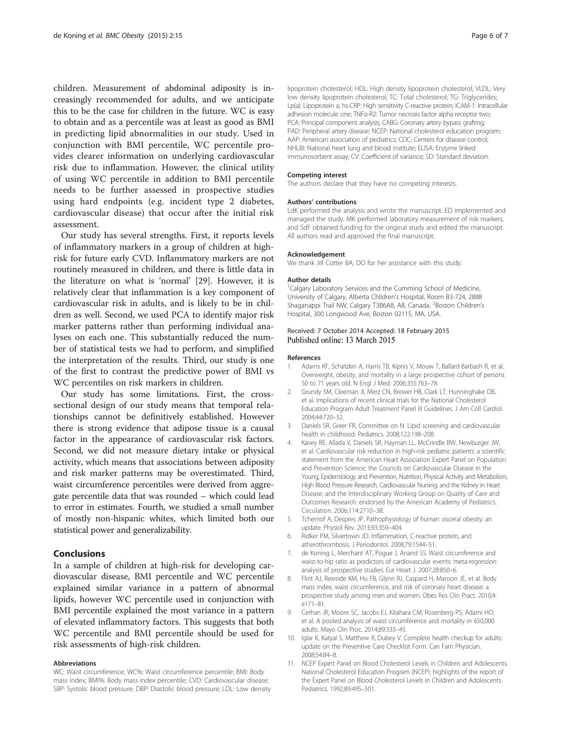<span id="page-5-0"></span>children. Measurement of abdominal adiposity is increasingly recommended for adults, and we anticipate this to be the case for children in the future. WC is easy to obtain and as a percentile was at least as good as BMI in predicting lipid abnormalities in our study. Used in conjunction with BMI percentile, WC percentile provides clearer information on underlying cardiovascular risk due to inflammation. However, the clinical utility of using WC percentile in addition to BMI percentile needs to be further assessed in prospective studies using hard endpoints (e.g. incident type 2 diabetes, cardiovascular disease) that occur after the initial risk assessment.

Our study has several strengths. First, it reports levels of inflammatory markers in a group of children at highrisk for future early CVD. Inflammatory markers are not routinely measured in children, and there is little data in the literature on what is 'normal' [\[29\]](#page-6-0). However, it is relatively clear that inflammation is a key component of cardiovascular risk in adults, and is likely to be in children as well. Second, we used PCA to identify major risk marker patterns rather than performing individual analyses on each one. This substantially reduced the number of statistical tests we had to perform, and simplified the interpretation of the results. Third, our study is one of the first to contrast the predictive power of BMI vs WC percentiles on risk markers in children.

Our study has some limitations. First, the crosssectional design of our study means that temporal relationships cannot be definitively established. However there is strong evidence that adipose tissue is a causal factor in the appearance of cardiovascular risk factors. Second, we did not measure dietary intake or physical activity, which means that associations between adiposity and risk marker patterns may be overestimated. Third, waist circumference percentiles were derived from aggregate percentile data that was rounded – which could lead to error in estimates. Fourth, we studied a small number of mostly non-hispanic whites, which limited both our statistical power and generalizability.

#### Conclusions

In a sample of children at high-risk for developing cardiovascular disease, BMI percentile and WC percentile explained similar variance in a pattern of abnormal lipids, however WC percentile used in conjunction with BMI percentile explained the most variance in a pattern of elevated inflammatory factors. This suggests that both WC percentile and BMI percentile should be used for risk assessments of high-risk children.

#### Abbreviations

WC: Waist circumference; WC%: Waist circumference percentile; BMI: Body mass index; BMI%: Body mass index percentile; CVD: Cardiovascular disease; SBP: Systolic blood pressure; DBP: Diastolic blood pressure; LDL: Low density

lipoprotein cholesterol; HDL: High density lipoprotein cholesterol; VLDL: Very low density lipoprotein cholesterol; TC: Total cholesterol; TG: Triglycerides; Lp(a): Lipoprotein a; hs-CRP: High sensitivity C-reactive protein; ICAM-1: Intracellular adhesion molecule one; TNFα-R2: Tumor necrosis factor alpha receptor two; PCA: Principal component analysis; CABG: Coronary artery bypass grafting; PAD: Peripheral artery disease; NCEP: National cholesterol education program; AAP: American association of pediatrics; CDC: Centers for disease control; NHLBI: National heart lung and blood institute; ELISA: Enzyme linked immunosorbent assay; CV: Coefficient of variance; SD: Standard deviation.

#### Competing interest

The authors declare that they have no competing interests.

#### Authors' contributions

LdK performed the analysis and wrote the manuscript. ED implemented and managed the study. MK performed laboratory measurement of risk markers, and SdF obtained funding for the original study and edited the manuscript. All authors read and approved the final manuscript.

#### Acknowledgement

We thank Jill Cotter BA, DO for her assistance with this study.

#### Author details

<sup>1</sup>Calgary Laboratory Services and the Cumming School of Medicine, University of Calgary, Alberta Children's Hospital, Room B3-724, 2888 Shaganappi Trail NW, Calgary T3B6A8, AB, Canada. <sup>2</sup>Boston Children's Hospital, 300 Longwood Ave, Boston 02115, MA, USA.

#### Received: 7 October 2014 Accepted: 18 February 2015 Published online: 13 March 2015

#### References

- 1. Adams KF, Schatzkin A, Harris TB, Kipnis V, Mouw T, Ballard-Barbash R, et al. Overweight, obesity, and mortality in a large prospective cohort of persons 50 to 71 years old. N Engl J Med. 2006;355:763–78.
- 2. Grundy SM, Cleeman JI, Merz CN, Brewer HB, Clark LT, Hunninghake DB, et al. Implications of recent clinical trials for the National Cholesterol Education Program Adult Treatment Panel III Guidelines. J Am Coll Cardiol. 2004;44:720–32.
- 3. Daniels SR, Greer FR, Committee on N. Lipid screening and cardiovascular health in childhood. Pediatrics. 2008;122:198–208.
- 4. Kavey RE, Allada V, Daniels SR, Hayman LL, McCrindle BW, Newburger JW, et al. Cardiovascular risk reduction in high-risk pediatric patients: a scientific statement from the American Heart Association Expert Panel on Population and Prevention Science; the Councils on Cardiovascular Disease in the Young, Epidemiology and Prevention, Nutrition, Physical Activity and Metabolism, High Blood Pressure Research, Cardiovascular Nursing, and the Kidney in Heart Disease; and the Interdisciplinary Working Group on Quality of Care and Outcomes Research: endorsed by the American Academy of Pediatrics. Circulation. 2006;114:2710–38.
- 5. Tchernof A, Despres JP. Pathophysiology of human visceral obesity: an update. Physiol Rev. 2013;93:359–404.
- 6. Ridker PM, Silvertown JD. Inflammation, C-reactive protein, and atherothrombosis. J Periodontol. 2008;79:1544–51.
- de Koning L, Merchant AT, Pogue J, Anand SS. Waist circumference and waist-to-hip ratio as predictors of cardiovascular events: meta-regression analysis of prospective studies. Eur Heart J. 2007;28:850–6.
- 8. Flint AJ, Rexrode KM, Hu FB, Glynn RJ, Caspard H, Manson JE, et al. Body mass index, waist circumference, and risk of coronary heart disease: a prospective study among men and women. Obes Res Clin Pract. 2010;4: e171–81.
- 9. Cerhan JR, Moore SC, Jacobs EJ, Kitahara CM, Rosenberg PS, Adami HO, et al. A pooled analysis of waist circumference and mortality in 650,000 adults. Mayo Clin Proc. 2014;89:335–45.
- 10. Iglar K, Katyal S, Matthew R, Dubey V. Complete health checkup for adults: update on the Preventive Care Checklist Form. Can Fam Physician. 2008;54:84–8.
- 11. NCEP Expert Panel on Blood Cholesterol Levels in Children and Adolescents. National Cholesterol Education Program (NCEP): highlights of the report of the Expert Panel on Blood Cholesterol Levels in Children and Adolescents. Pediatrics. 1992;89:495–501.